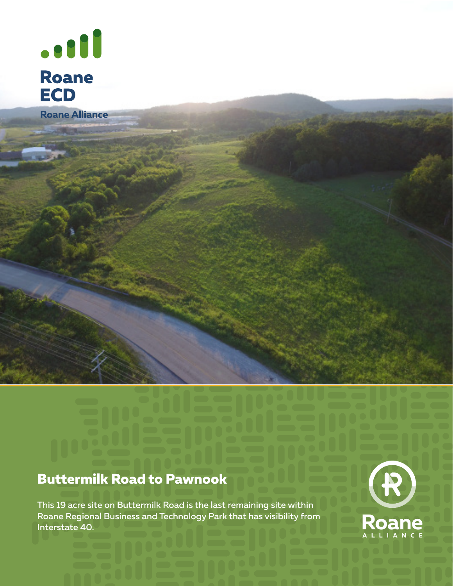

Roane Alliance

# **Buttermilk Road to Pawnook**

This 19 acre site on Buttermilk Road is the last remaining site within Roane Regional Business and Technology Park that has visibility from Interstate 40.